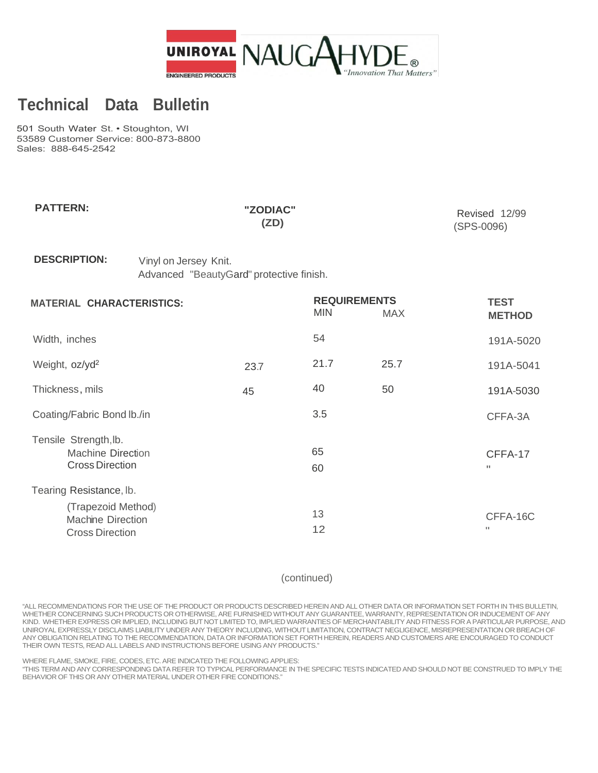

## **Technical Data Bulletin**

501 South Water St. • Stoughton, WI 53589 Customer Service: 800-873-8800 Sales: 888-645-2542

| <b>PATTERN:</b>                                                             |                                                                   | "ZODIAC"<br>(2D) |                                   |            | Revised 12/99<br>(SPS-0096)  |
|-----------------------------------------------------------------------------|-------------------------------------------------------------------|------------------|-----------------------------------|------------|------------------------------|
| <b>DESCRIPTION:</b>                                                         | Vinyl on Jersey Knit.<br>Advanced "BeautyGard" protective finish. |                  |                                   |            |                              |
| <b>MATERIAL CHARACTERISTICS:</b>                                            |                                                                   |                  | <b>REQUIREMENTS</b><br><b>MIN</b> | <b>MAX</b> | <b>TEST</b><br><b>METHOD</b> |
| Width, inches                                                               |                                                                   |                  | 54                                |            | 191A-5020                    |
| Weight, oz/yd <sup>2</sup>                                                  |                                                                   | 23.7             | 21.7                              | 25.7       | 191A-5041                    |
| Thickness, mils                                                             |                                                                   | 45               | 40                                | 50         | 191A-5030                    |
| Coating/Fabric Bond lb./in                                                  |                                                                   |                  | 3.5                               |            | CFFA-3A                      |
| Tensile Strength, lb.<br><b>Machine Direction</b><br><b>Cross Direction</b> |                                                                   |                  | 65<br>60                          |            | CFFA-17<br>п                 |
| Tearing Resistance, lb.                                                     |                                                                   |                  |                                   |            |                              |

| (Trapezoid Method)     |  |          |
|------------------------|--|----------|
| Machine Direction      |  | CFFA-16C |
| <b>Cross Direction</b> |  |          |

(continued)

"ALL RECOMMENDATIONS FOR THE USE OF THE PRODUCT OR PRODUCTS DESCRIBED HEREIN AND ALL OTHER DATA OR INFORMATION SET FORTH IN THIS BULLETIN, WHETHER CONCERNING SUCH PRODUCTS OR OTHERWISE, ARE FURNISHED WITHOUT ANY GUARANTEE, WARRANTY, REPRESENTATION OR INDUCEMENT OF ANY KIND. WHETHER EXPRESS OR IMPLIED, INCLUDING BUT NOT LIMITED TO, IMPLIED WARRANTIES OF MERCHANTABILITY AND FITNESS FOR A PARTICULAR PURPOSE, AND UNIROYAL EXPRESSLY DISCLAIMS LIABILITY UNDER ANY THEORY INCLUDING, WITHOUT LIMITATION, CONTRACT NEGLIGENCE, MISREPRESENTATION OR BREACH OF ANY OBLIGATION RELATING TO THE RECOMMENDATION, DATA OR INFORMATION SET FORTH HEREIN, READERS AND CUSTOMERS ARE ENCOURAGED TO CONDUCT THEIR OWN TESTS, READ ALL LABELS AND INSTRUCTIONS BEFORE USING ANY PRODUCTS."

WHERE FLAME, SMOKE, FIRE, CODES, ETC. ARE INDICATED THE FOLLOWING APPLIES:

"THIS TERM AND ANY CORRESPONDING DATA REFER TO TYPICAL PERFORMANCE IN THE SPECIFIC TESTS INDICATED AND SHOULD NOT BE CONSTRUED TO IMPLY THE BEHAVIOR OF THIS OR ANY OTHER MATERIAL UNDER OTHER FIRE CONDITIONS."